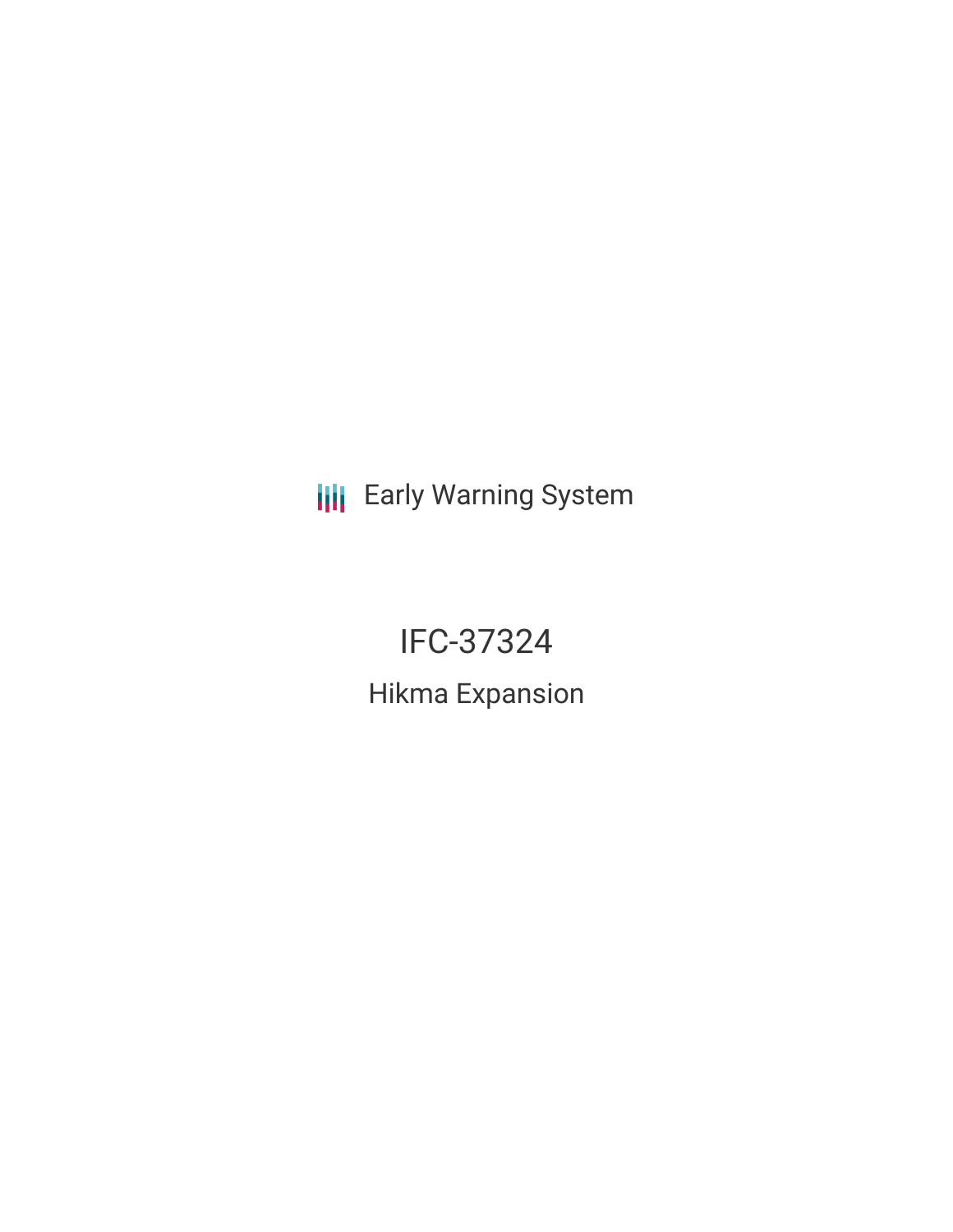**III** Early Warning System

IFC-37324 Hikma Expansion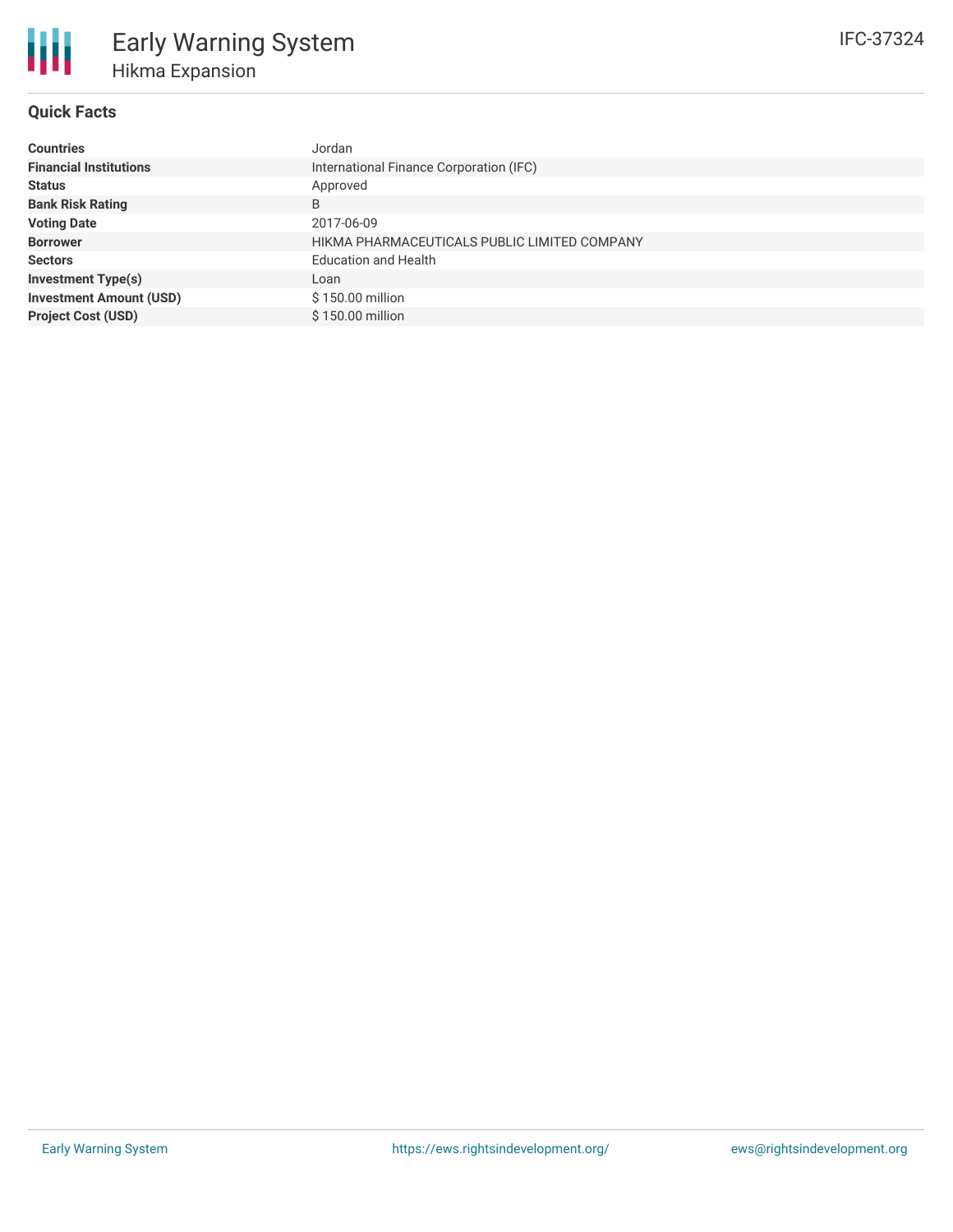

# **Quick Facts**

| <b>Countries</b>               | Jordan                                       |  |  |  |  |
|--------------------------------|----------------------------------------------|--|--|--|--|
| <b>Financial Institutions</b>  | International Finance Corporation (IFC)      |  |  |  |  |
| <b>Status</b>                  | Approved                                     |  |  |  |  |
| <b>Bank Risk Rating</b>        | B                                            |  |  |  |  |
| <b>Voting Date</b>             | 2017-06-09                                   |  |  |  |  |
| <b>Borrower</b>                | HIKMA PHARMACEUTICALS PUBLIC LIMITED COMPANY |  |  |  |  |
| <b>Sectors</b>                 | <b>Education and Health</b>                  |  |  |  |  |
| <b>Investment Type(s)</b>      | Loan                                         |  |  |  |  |
| <b>Investment Amount (USD)</b> | \$150.00 million                             |  |  |  |  |
| <b>Project Cost (USD)</b>      | \$150.00 million                             |  |  |  |  |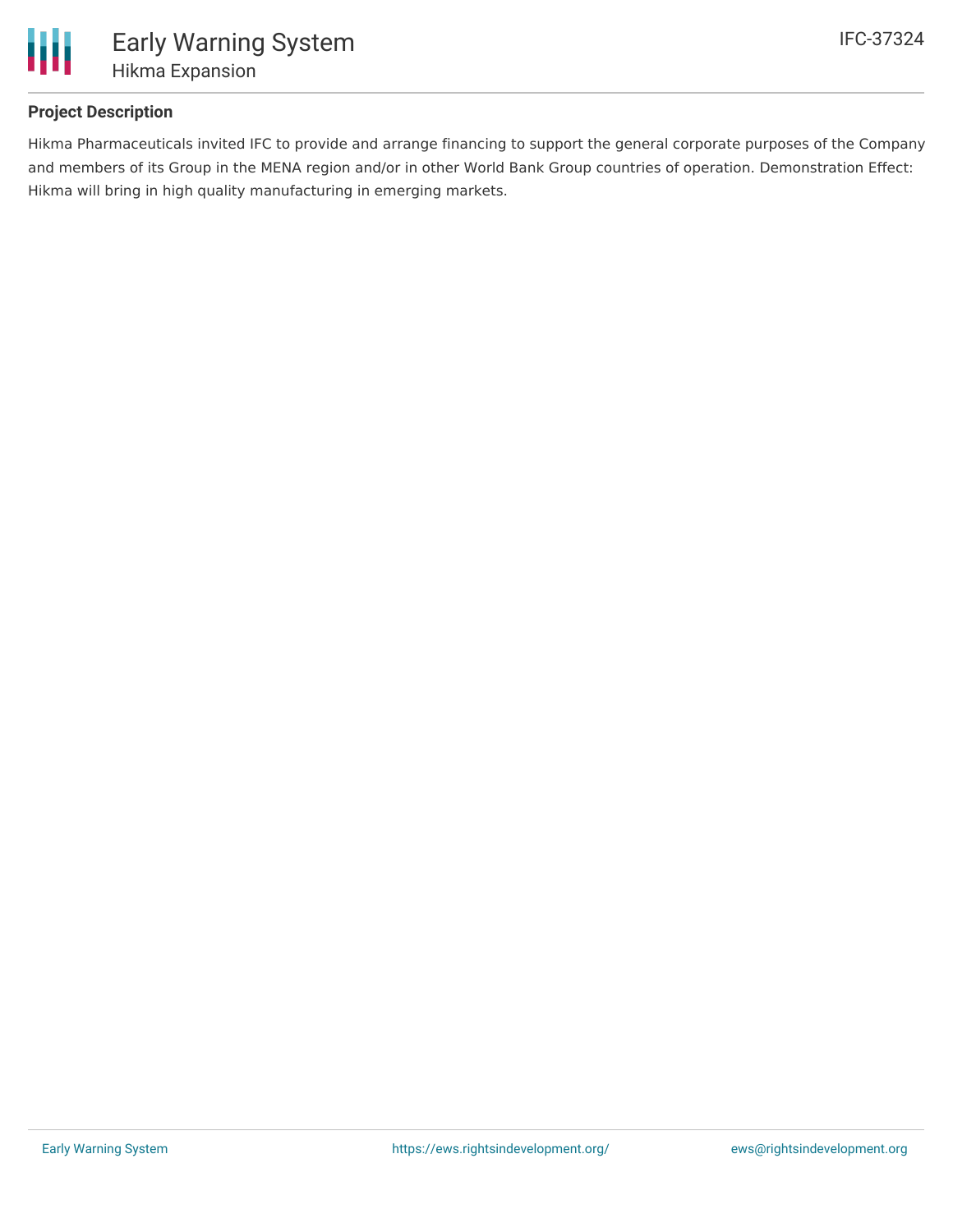

# **Project Description**

Hikma Pharmaceuticals invited IFC to provide and arrange financing to support the general corporate purposes of the Company and members of its Group in the MENA region and/or in other World Bank Group countries of operation. Demonstration Effect: Hikma will bring in high quality manufacturing in emerging markets.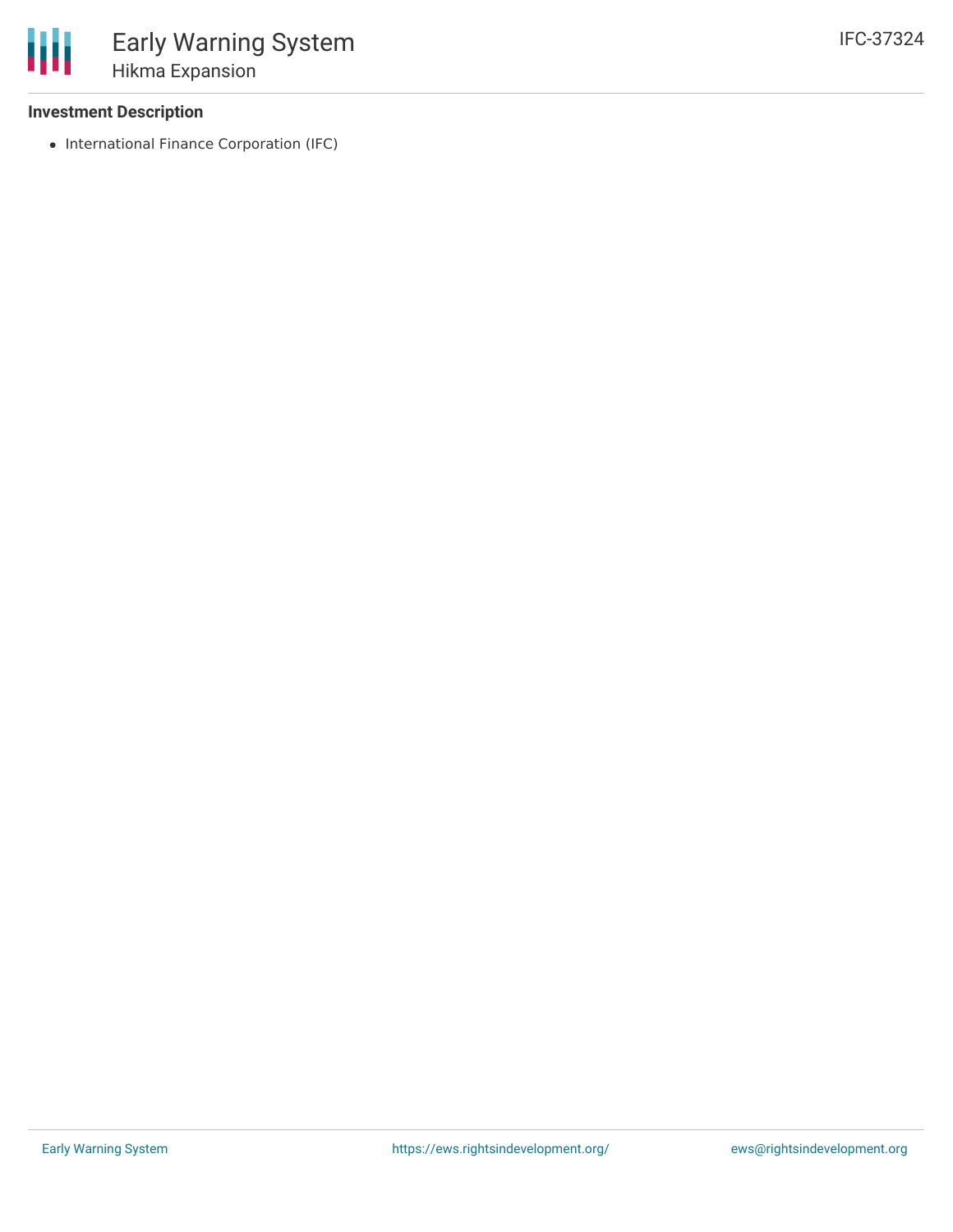### **Investment Description**

• International Finance Corporation (IFC)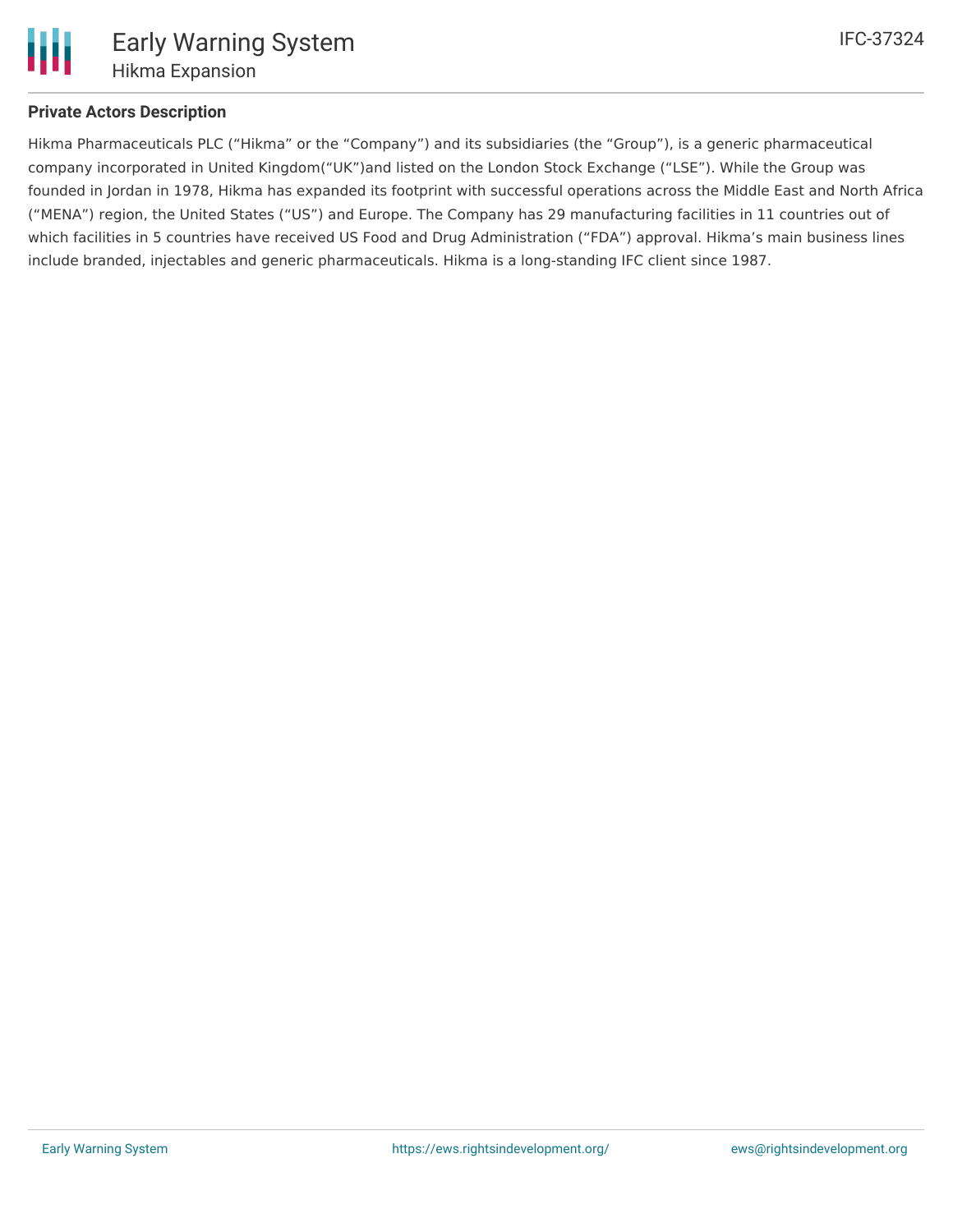### **Private Actors Description**

Hikma Pharmaceuticals PLC ("Hikma" or the "Company") and its subsidiaries (the "Group"), is a generic pharmaceutical company incorporated in United Kingdom("UK")and listed on the London Stock Exchange ("LSE"). While the Group was founded in Jordan in 1978, Hikma has expanded its footprint with successful operations across the Middle East and North Africa ("MENA") region, the United States ("US") and Europe. The Company has 29 manufacturing facilities in 11 countries out of which facilities in 5 countries have received US Food and Drug Administration ("FDA") approval. Hikma's main business lines include branded, injectables and generic pharmaceuticals. Hikma is a long-standing IFC client since 1987.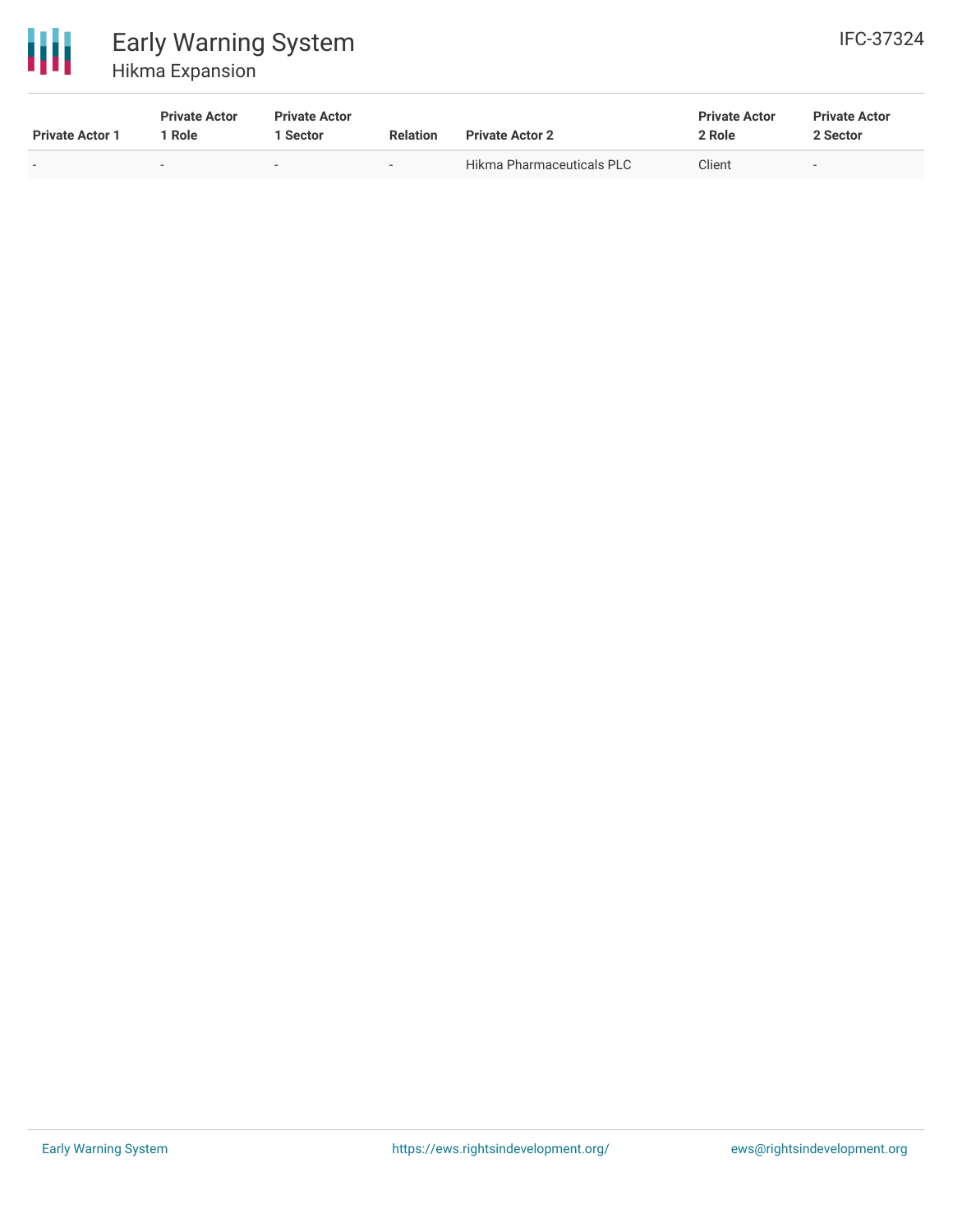

# Early Warning System Hikma Expansion

| <b>Private Actor 1</b>   | <b>Private Actor</b><br>Role | <b>Private Actor</b><br><b>Sector</b> | <b>Relation</b> | <b>Private Actor 2</b>           | <b>Private Actor</b><br>2 Role | <b>Private Actor</b><br>2 Sector |  |
|--------------------------|------------------------------|---------------------------------------|-----------------|----------------------------------|--------------------------------|----------------------------------|--|
| $\overline{\phantom{0}}$ | -                            | $\overline{\phantom{a}}$              | $\sim$          | <b>Hikma Pharmaceuticals PLC</b> | Client                         | $\overline{\phantom{0}}$         |  |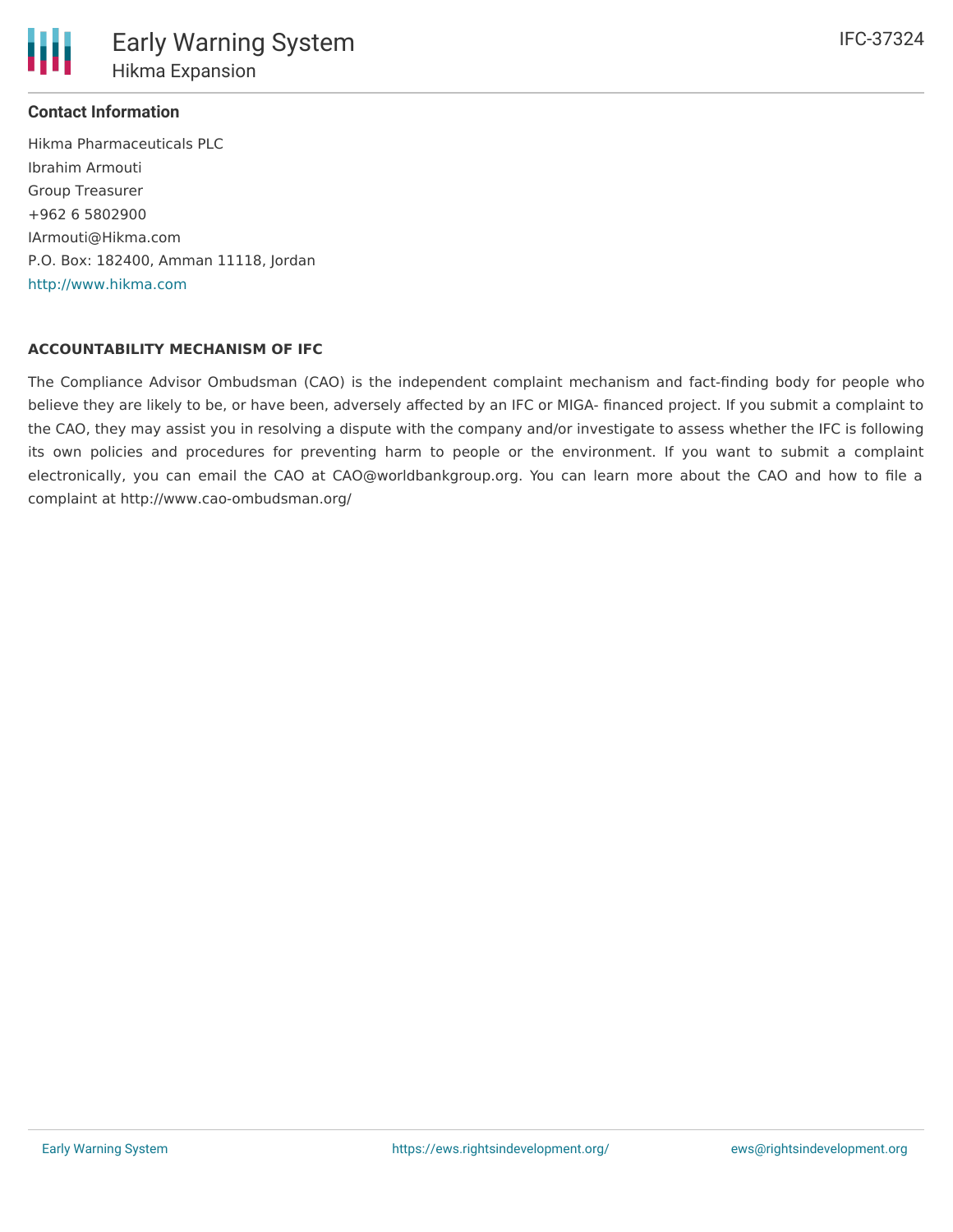### **Contact Information**

Hikma Pharmaceuticals PLC Ibrahim Armouti Group Treasurer +962 6 5802900 IArmouti@Hikma.com P.O. Box: 182400, Amman 11118, Jordan <http://www.hikma.com>

### **ACCOUNTABILITY MECHANISM OF IFC**

The Compliance Advisor Ombudsman (CAO) is the independent complaint mechanism and fact-finding body for people who believe they are likely to be, or have been, adversely affected by an IFC or MIGA- financed project. If you submit a complaint to the CAO, they may assist you in resolving a dispute with the company and/or investigate to assess whether the IFC is following its own policies and procedures for preventing harm to people or the environment. If you want to submit a complaint electronically, you can email the CAO at CAO@worldbankgroup.org. You can learn more about the CAO and how to file a complaint at http://www.cao-ombudsman.org/